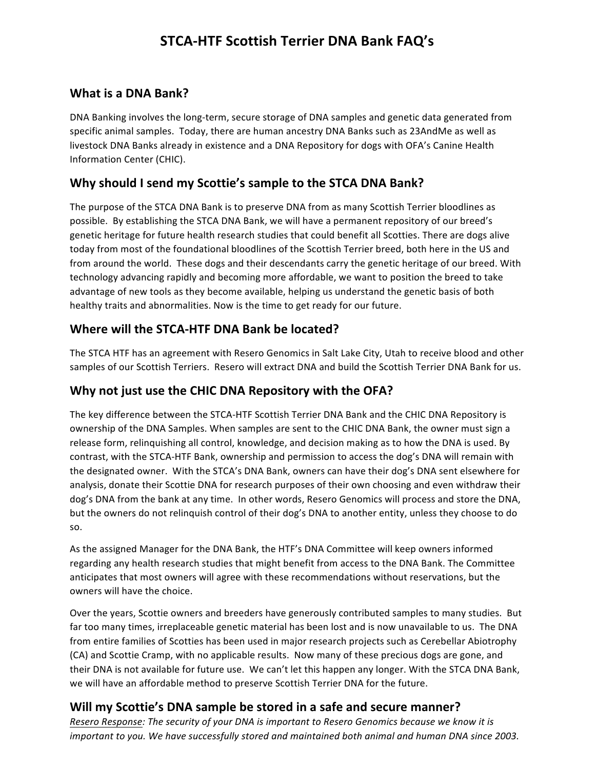# **STCA-HTF Scottish Terrier DNA Bank FAQ's**

#### **What is a DNA Bank?**

DNA Banking involves the long-term, secure storage of DNA samples and genetic data generated from specific animal samples. Today, there are human ancestry DNA Banks such as 23AndMe as well as livestock DNA Banks already in existence and a DNA Repository for dogs with OFA's Canine Health Information Center (CHIC). 

### Why should I send my Scottie's sample to the STCA DNA Bank?

The purpose of the STCA DNA Bank is to preserve DNA from as many Scottish Terrier bloodlines as possible. By establishing the STCA DNA Bank, we will have a permanent repository of our breed's genetic heritage for future health research studies that could benefit all Scotties. There are dogs alive today from most of the foundational bloodlines of the Scottish Terrier breed, both here in the US and from around the world. These dogs and their descendants carry the genetic heritage of our breed. With technology advancing rapidly and becoming more affordable, we want to position the breed to take advantage of new tools as they become available, helping us understand the genetic basis of both healthy traits and abnormalities. Now is the time to get ready for our future.

#### **Where will the STCA-HTF DNA Bank be located?**

The STCA HTF has an agreement with Resero Genomics in Salt Lake City, Utah to receive blood and other samples of our Scottish Terriers. Resero will extract DNA and build the Scottish Terrier DNA Bank for us.

### Why not just use the CHIC DNA Repository with the OFA?

The key difference between the STCA-HTF Scottish Terrier DNA Bank and the CHIC DNA Repository is ownership of the DNA Samples. When samples are sent to the CHIC DNA Bank, the owner must sign a release form, relinquishing all control, knowledge, and decision making as to how the DNA is used. By contrast, with the STCA-HTF Bank, ownership and permission to access the dog's DNA will remain with the designated owner. With the STCA's DNA Bank, owners can have their dog's DNA sent elsewhere for analysis, donate their Scottie DNA for research purposes of their own choosing and even withdraw their dog's DNA from the bank at any time. In other words, Resero Genomics will process and store the DNA, but the owners do not relinquish control of their dog's DNA to another entity, unless they choose to do so.

As the assigned Manager for the DNA Bank, the HTF's DNA Committee will keep owners informed regarding any health research studies that might benefit from access to the DNA Bank. The Committee anticipates that most owners will agree with these recommendations without reservations, but the owners will have the choice.

Over the years, Scottie owners and breeders have generously contributed samples to many studies. But far too many times, irreplaceable genetic material has been lost and is now unavailable to us. The DNA from entire families of Scotties has been used in major research projects such as Cerebellar Abiotrophy (CA) and Scottie Cramp, with no applicable results. Now many of these precious dogs are gone, and their DNA is not available for future use. We can't let this happen any longer. With the STCA DNA Bank, we will have an affordable method to preserve Scottish Terrier DNA for the future.

### **Will my Scottie's DNA sample be stored in a safe and secure manner?**

*Resero Response: The security of your DNA is important to Resero Genomics because we know it is important to you.* We have successfully stored and maintained both animal and human DNA since 2003.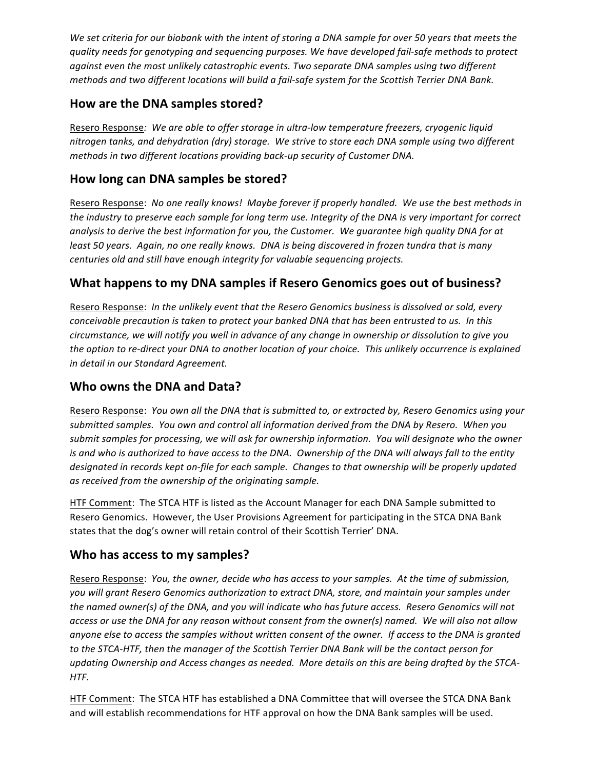We set criteria for our biobank with the intent of storing a DNA sample for over 50 years that meets the quality needs for genotyping and sequencing purposes. We have developed fail-safe methods to protect *against even the most unlikely catastrophic events. Two separate DNA samples using two different methods and two different locations will build a fail-safe system for the Scottish Terrier DNA Bank.* 

### **How are the DNA samples stored?**

Resero Response: We are able to offer storage in ultra-low temperature freezers, cryogenic liquid nitrogen tanks, and dehydration (dry) storage. We strive to store each DNA sample using two different *methods in two different locations providing back-up security of Customer DNA.* 

### How long can DNA samples be stored?

Resero Response: No one really knows! Maybe forever if properly handled. We use the best methods in the industry to preserve each sample for long term use. Integrity of the DNA is very important for correct *analysis* to derive the best information for you, the Customer. We quarantee high quality DNA for at *least* 50 years. Again, no one really knows. DNA is being discovered in frozen tundra that is many centuries old and still have enough integrity for valuable sequencing projects.

### **What happens to my DNA samples if Resero Genomics goes out of business?**

Resero Response: In the unlikely event that the Resero Genomics business is dissolved or sold, every *conceivable precaution is taken to protect your banked DNA that has been entrusted to us. In this circumstance,* we will notify you well in advance of any change in ownership or dissolution to give you *the option to re-direct your DNA to another location of your choice. This unlikely occurrence is explained in detail in our Standard Agreement.*

#### **Who owns the DNA and Data?**

Resero Response: You own all the DNA that is submitted to, or extracted by, Resero Genomics using your submitted samples. You own and control all information derived from the DNA by Resero. When you submit samples for processing, we will ask for ownership information. You will designate who the owner *is* and who is authorized to have access to the DNA. Ownership of the DNA will always fall to the entity designated in records kept on-file for each sample. Changes to that ownership will be properly updated as received from the ownership of the originating sample.

HTF Comment: The STCA HTF is listed as the Account Manager for each DNA Sample submitted to Resero Genomics. However, the User Provisions Agreement for participating in the STCA DNA Bank states that the dog's owner will retain control of their Scottish Terrier' DNA.

#### **Who has access to my samples?**

Resero Response: *You, the owner, decide who has access to your samples. At the time of submission,* you will grant Resero Genomics authorization to extract DNA, store, and maintain your samples under the named owner(s) of the DNA, and you will indicate who has future access. Resero Genomics will not access or use the DNA for any reason without consent from the owner(s) named. We will also not allow anyone else to access the samples without written consent of the owner. If access to the DNA is granted to the STCA-HTF, then the manager of the Scottish Terrier DNA Bank will be the contact person for updating Ownership and Access changes as needed. More details on this are being drafted by the STCA-*HTF.*

HTF Comment: The STCA HTF has established a DNA Committee that will oversee the STCA DNA Bank and will establish recommendations for HTF approval on how the DNA Bank samples will be used.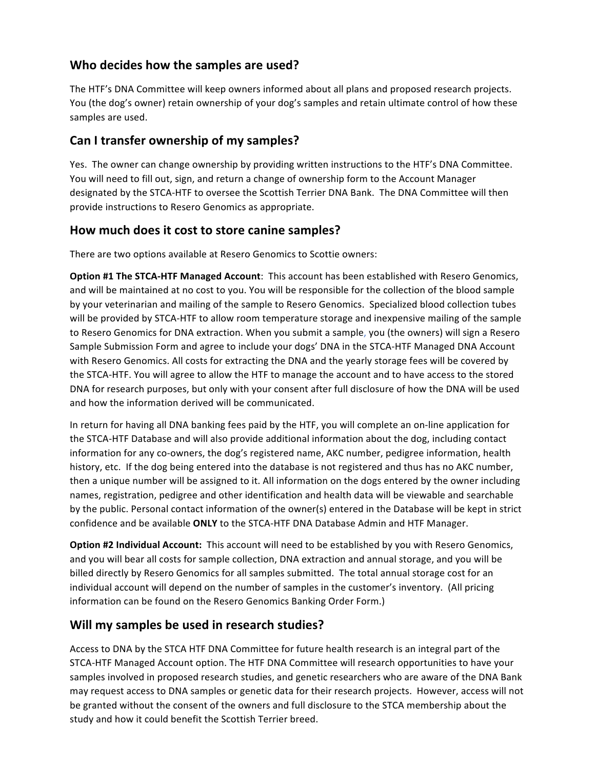### **Who decides how the samples are used?**

The HTF's DNA Committee will keep owners informed about all plans and proposed research projects. You (the dog's owner) retain ownership of your dog's samples and retain ultimate control of how these samples are used.

### **Can I transfer ownership of my samples?**

Yes. The owner can change ownership by providing written instructions to the HTF's DNA Committee. You will need to fill out, sign, and return a change of ownership form to the Account Manager designated by the STCA-HTF to oversee the Scottish Terrier DNA Bank. The DNA Committee will then provide instructions to Resero Genomics as appropriate.

#### How much does it cost to store canine samples?

There are two options available at Resero Genomics to Scottie owners:

**Option #1 The STCA-HTF Managed Account:** This account has been established with Resero Genomics, and will be maintained at no cost to you. You will be responsible for the collection of the blood sample by your veterinarian and mailing of the sample to Resero Genomics. Specialized blood collection tubes will be provided by STCA-HTF to allow room temperature storage and inexpensive mailing of the sample to Resero Genomics for DNA extraction. When you submit a sample, you (the owners) will sign a Resero Sample Submission Form and agree to include your dogs' DNA in the STCA-HTF Managed DNA Account with Resero Genomics. All costs for extracting the DNA and the yearly storage fees will be covered by the STCA-HTF. You will agree to allow the HTF to manage the account and to have access to the stored DNA for research purposes, but only with your consent after full disclosure of how the DNA will be used and how the information derived will be communicated.

In return for having all DNA banking fees paid by the HTF, you will complete an on-line application for the STCA-HTF Database and will also provide additional information about the dog, including contact information for any co-owners, the dog's registered name, AKC number, pedigree information, health history, etc. If the dog being entered into the database is not registered and thus has no AKC number, then a unique number will be assigned to it. All information on the dogs entered by the owner including names, registration, pedigree and other identification and health data will be viewable and searchable by the public. Personal contact information of the owner(s) entered in the Database will be kept in strict confidence and be available **ONLY** to the STCA-HTF DNA Database Admin and HTF Manager.

**Option #2 Individual Account:** This account will need to be established by you with Resero Genomics, and you will bear all costs for sample collection, DNA extraction and annual storage, and you will be billed directly by Resero Genomics for all samples submitted. The total annual storage cost for an individual account will depend on the number of samples in the customer's inventory. (All pricing information can be found on the Resero Genomics Banking Order Form.)

#### **Will my samples be used in research studies?**

Access to DNA by the STCA HTF DNA Committee for future health research is an integral part of the STCA-HTF Managed Account option. The HTF DNA Committee will research opportunities to have your samples involved in proposed research studies, and genetic researchers who are aware of the DNA Bank may request access to DNA samples or genetic data for their research projects. However, access will not be granted without the consent of the owners and full disclosure to the STCA membership about the study and how it could benefit the Scottish Terrier breed.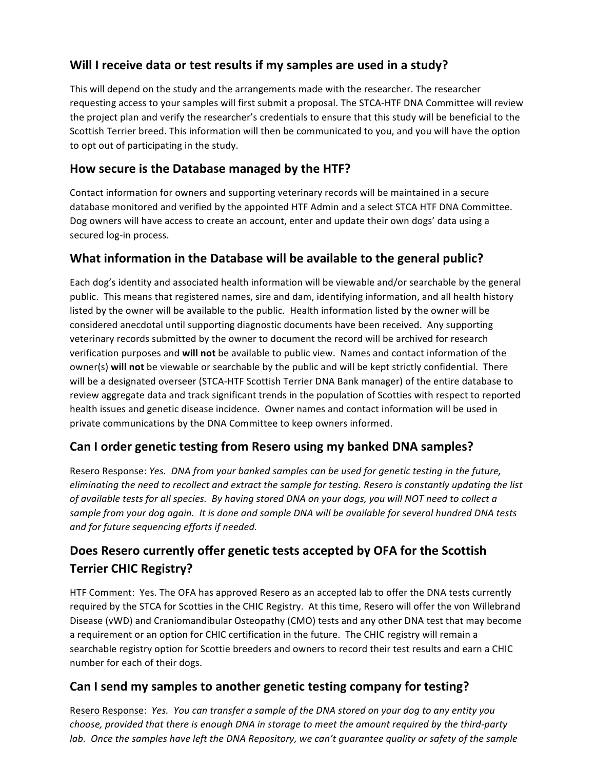### Will I receive data or test results if my samples are used in a study?

This will depend on the study and the arrangements made with the researcher. The researcher requesting access to your samples will first submit a proposal. The STCA-HTF DNA Committee will review the project plan and verify the researcher's credentials to ensure that this study will be beneficial to the Scottish Terrier breed. This information will then be communicated to you, and you will have the option to opt out of participating in the study.

### How secure is the Database managed by the HTF?

Contact information for owners and supporting veterinary records will be maintained in a secure database monitored and verified by the appointed HTF Admin and a select STCA HTF DNA Committee. Dog owners will have access to create an account, enter and update their own dogs' data using a secured log-in process.

### **What information in the Database will be available to the general public?**

Each dog's identity and associated health information will be viewable and/or searchable by the general public. This means that registered names, sire and dam, identifying information, and all health history listed by the owner will be available to the public. Health information listed by the owner will be considered anecdotal until supporting diagnostic documents have been received. Any supporting veterinary records submitted by the owner to document the record will be archived for research verification purposes and **will not** be available to public view. Names and contact information of the owner(s) will not be viewable or searchable by the public and will be kept strictly confidential. There will be a designated overseer (STCA-HTF Scottish Terrier DNA Bank manager) of the entire database to review aggregate data and track significant trends in the population of Scotties with respect to reported health issues and genetic disease incidence. Owner names and contact information will be used in private communications by the DNA Committee to keep owners informed.

### **Can I order genetic testing from Resero using my banked DNA samples?**

Resero Response: *Yes. DNA from your banked samples can be used for genetic testing in the future, eliminating* the need to recollect and extract the sample for testing. Resero is constantly updating the list *of available tests for all species. By having stored DNA on your dogs, you will NOT need to collect a* sample from your dog again. It is done and sample DNA will be available for several hundred DNA tests *and for future sequencing efforts if needed.*

# **Does Resero currently offer genetic tests accepted by OFA for the Scottish Terrier CHIC Registry?**

HTF Comment: Yes. The OFA has approved Resero as an accepted lab to offer the DNA tests currently required by the STCA for Scotties in the CHIC Registry. At this time, Resero will offer the von Willebrand Disease (vWD) and Craniomandibular Osteopathy (CMO) tests and any other DNA test that may become a requirement or an option for CHIC certification in the future. The CHIC registry will remain a searchable registry option for Scottie breeders and owners to record their test results and earn a CHIC number for each of their dogs.

### Can I send my samples to another genetic testing company for testing?

Resero Response: *Yes. You can transfer a sample of the DNA stored on your dog to any entity you choose,* provided that there is enough DNA in storage to meet the amount required by the third-party *lab.* Once the samples have left the DNA Repository, we can't guarantee quality or safety of the sample